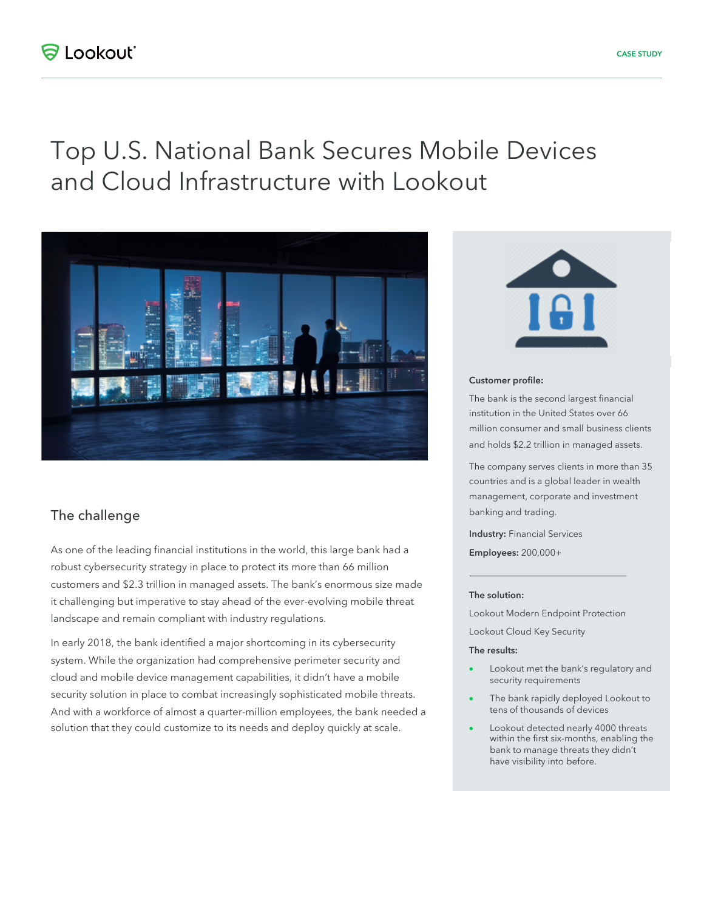## **ED bookbotit**

# Top U.S. National Bank Secures Mobile Devices and Cloud Infrastructure with Lookout



## The challenge

As one of the leading financial institutions in the world, this large bank had a robust cybersecurity strategy in place to protect its more than 66 million customers and \$2.3 trillion in managed assets. The bank's enormous size made it challenging but imperative to stay ahead of the ever-evolving mobile threat landscape and remain compliant with industry regulations.

In early 2018, the bank identified a major shortcoming in its cybersecurity system. While the organization had comprehensive perimeter security and cloud and mobile device management capabilities, it didn't have a mobile security solution in place to combat increasingly sophisticated mobile threats. And with a workforce of almost a quarter-million employees, the bank needed a solution that they could customize to its needs and deploy quickly at scale.



#### Customer profile:

The bank is the second largest financial institution in the United States over 66 million consumer and small business clients and holds \$2.2 trillion in managed assets.

The company serves clients in more than 35 countries and is a global leader in wealth management, corporate and investment banking and trading.

Industry: Financial Services Employees: 200,000+

#### The solution:

Lookout Modern Endpoint Protection Lookout Cloud Key Security

#### The results:

- Lookout met the bank's regulatory and security requirements
- The bank rapidly deployed Lookout to tens of thousands of devices
- Lookout detected nearly 4000 threats within the first six-months, enabling the bank to manage threats they didn't have visibility into before.